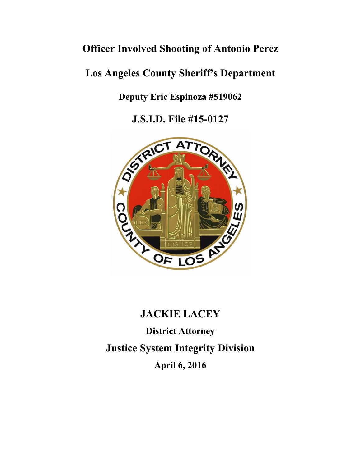# **Officer Involved Shooting of Antonio Perez**

## **Los Angeles County Sheriff's Department**

**Deputy Eric Espinoza #519062** 

**J.S.I.D. File #15-0127**



### **JACKIE LACEY**

**District Attorney Justice System Integrity Division April 6, 2016**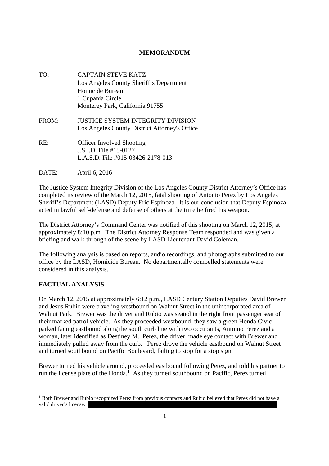#### **MEMORANDUM**

TO: CAPTAIN STEVE KATZ Los Angeles County Sheriff's Department Homicide Bureau 1 Cupania Circle Monterey Park, California 91755 FROM: JUSTICE SYSTEM INTEGRITY DIVISION Los Angeles County District Attorney's Office RE: Officer Involved Shooting J.S.I.D. File #15-0127 L.A.S.D. File #015-03426-2178-013

DATE: April 6, 2016

The Justice System Integrity Division of the Los Angeles County District Attorney's Office has completed its review of the March 12, 2015, fatal shooting of Antonio Perez by Los Angeles Sheriff's Department (LASD) Deputy Eric Espinoza. It is our conclusion that Deputy Espinoza acted in lawful self-defense and defense of others at the time he fired his weapon.

The District Attorney's Command Center was notified of this shooting on March 12, 2015, at approximately 8:10 p.m. The District Attorney Response Team responded and was given a briefing and walk-through of the scene by LASD Lieutenant David Coleman.

The following analysis is based on reports, audio recordings, and photographs submitted to our office by the LASD, Homicide Bureau. No departmentally compelled statements were considered in this analysis.

### **FACTUAL ANALYSIS**

On March 12, 2015 at approximately 6:12 p.m., LASD Century Station Deputies David Brewer and Jesus Rubio were traveling westbound on Walnut Street in the unincorporated area of Walnut Park. Brewer was the driver and Rubio was seated in the right front passenger seat of their marked patrol vehicle. As they proceeded westbound, they saw a green Honda Civic parked facing eastbound along the south curb line with two occupants, Antonio Perez and a woman, later identified as Destiney M. Perez, the driver, made eye contact with Brewer and immediately pulled away from the curb. Perez drove the vehicle eastbound on Walnut Street and turned southbound on Pacific Boulevard, failing to stop for a stop sign.

Brewer turned his vehicle around, proceeded eastbound following Perez, and told his partner to run the license plate of the Honda.<sup>1</sup> As they turned southbound on Pacific, Perez turned

<sup>&</sup>lt;sup>1</sup> Both Brewer and Rubio recognized Perez from previous contacts and Rubio believed that Perez did not have a valid driver's license.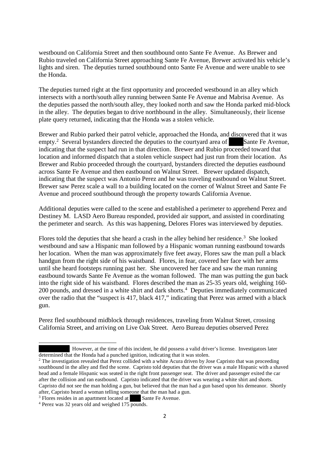westbound on California Street and then southbound onto Sante Fe Avenue. As Brewer and Rubio traveled on California Street approaching Sante Fe Avenue, Brewer activated his vehicle's lights and siren. The deputies turned southbound onto Sante Fe Avenue and were unable to see the Honda.

The deputies turned right at the first opportunity and proceeded westbound in an alley which intersects with a north/south alley running between Sante Fe Avenue and Mabrisa Avenue. As the deputies passed the north/south alley, they looked north and saw the Honda parked mid-block in the alley. The deputies began to drive northbound in the alley. Simultaneously, their license plate query returned, indicating that the Honda was a stolen vehicle.

Brewer and Rubio parked their patrol vehicle, approached the Honda, and discovered that it was empty.<sup>2</sup> Several bystanders directed the deputies to the courtyard area of Sante Fe Avenue, indicating that the suspect had run in that direction. Brewer and Rubio proceeded toward that location and informed dispatch that a stolen vehicle suspect had just run from their location. As Brewer and Rubio proceeded through the courtyard, bystanders directed the deputies eastbound across Sante Fe Avenue and then eastbound on Walnut Street. Brewer updated dispatch, indicating that the suspect was Antonio Perez and he was traveling eastbound on Walnut Street. Brewer saw Perez scale a wall to a building located on the corner of Walnut Street and Sante Fe Avenue and proceed southbound through the property towards California Avenue.

Additional deputies were called to the scene and established a perimeter to apprehend Perez and Destiney M. LASD Aero Bureau responded, provided air support, and assisted in coordinating the perimeter and search. As this was happening, Delores Flores was interviewed by deputies.

Flores told the deputies that she heard a crash in the alley behind her residence.<sup>3</sup> She looked westbound and saw a Hispanic man followed by a Hispanic woman running eastbound towards her location. When the man was approximately five feet away, Flores saw the man pull a black handgun from the right side of his waistband. Flores, in fear, covered her face with her arms until she heard footsteps running past her. She uncovered her face and saw the man running eastbound towards Sante Fe Avenue as the woman followed. The man was putting the gun back into the right side of his waistband. Flores described the man as 25-35 years old, weighing 160- 200 pounds, and dressed in a white shirt and dark shorts.<sup>4</sup> Deputies immediately communicated over the radio that the "suspect is 417, black 417," indicating that Perez was armed with a black gun.

Perez fled southbound midblock through residences, traveling from Walnut Street, crossing California Street, and arriving on Live Oak Street. Aero Bureau deputies observed Perez

However, at the time of this incident, he did possess a valid driver's license. Investigators later determined that the Honda had a punched ignition, indicating that it was stolen.

<sup>&</sup>lt;sup>2</sup> The investigation revealed that Perez collided with a white Acura driven by Jose Capristo that was proceeding southbound in the alley and fled the scene. Capristo told deputies that the driver was a male Hispanic with a shaved head and a female Hispanic was seated in the right front passenger seat. The driver and passenger exited the car after the collision and ran eastbound. Capristo indicated that the driver was wearing a white shirt and shorts. Capristo did not see the man holding a gun, but believed that the man had a gun based upon his demeanor. Shortly after, Capristo heard a woman telling someone that the man had a gun.

<sup>&</sup>lt;sup>3</sup> Flores resides in an apartment located at Sante Fe Avenue.

<sup>4</sup> Perez was 32 years old and weighed 175 pounds.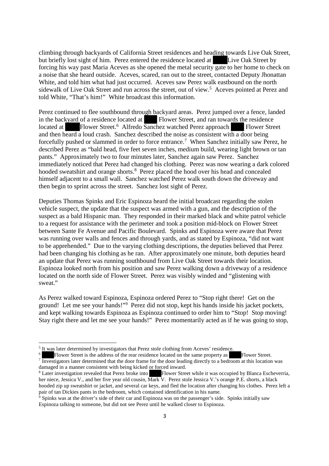climbing through backyards of California Street residences and heading towards Live Oak Street, but briefly lost sight of him. Perez entered the residence located at Live Oak Street by forcing his way past Maria Aceves as she opened the metal security gate to her home to check on a noise that she heard outside. Aceves, scared, ran out to the street, contacted Deputy Jhonattan White, and told him what had just occurred. Aceves saw Perez walk eastbound on the north sidewalk of Live Oak Street and run across the street, out of view.<sup>5</sup> Aceves pointed at Perez and told White, "That's him!" White broadcast this information.

Perez continued to flee southbound through backyard areas. Perez jumped over a fence, landed in the backyard of a residence located at Flower Street, and ran towards the residence located at Flower Street.<sup>6</sup> Alfredo Sanchez watched Perez approach Flower Street and then heard a loud crash. Sanchez described the noise as consistent with a door being forcefully pushed or slammed in order to force entrance.<sup>7</sup> When Sanchez initially saw Perez, he described Perez as "bald head, five feet seven inches, medium build, wearing light brown or tan pants." Approximately two to four minutes later, Sanchez again saw Perez. Sanchez immediately noticed that Perez had changed his clothing. Perez was now wearing a dark colored hooded sweatshirt and orange shorts.<sup>8</sup> Perez placed the hood over his head and concealed himself adjacent to a small wall. Sanchez watched Perez walk south down the driveway and then begin to sprint across the street. Sanchez lost sight of Perez.

Deputies Thomas Spinks and Eric Espinoza heard the initial broadcast regarding the stolen vehicle suspect, the update that the suspect was armed with a gun, and the description of the suspect as a bald Hispanic man. They responded in their marked black and white patrol vehicle to a request for assistance with the perimeter and took a position mid-block on Flower Street between Sante Fe Avenue and Pacific Boulevard. Spinks and Espinoza were aware that Perez was running over walls and fences and through yards, and as stated by Espinoza, "did not want to be apprehended." Due to the varying clothing descriptions, the deputies believed that Perez had been changing his clothing as he ran. After approximately one minute, both deputies heard an update that Perez was running southbound from Live Oak Street towards their location. Espinoza looked north from his position and saw Perez walking down a driveway of a residence located on the north side of Flower Street. Perez was visibly winded and "glistening with sweat."

As Perez walked toward Espinoza, Espinoza ordered Perez to "Stop right there! Get on the ground! Let me see your hands!"<sup>9</sup> Perez did not stop, kept his hands inside his jacket pockets, and kept walking towards Espinoza as Espinoza continued to order him to "Stop! Stop moving! Stay right there and let me see your hands!" Perez momentarily acted as if he was going to stop,

 $\frac{7}{10}$  Investigators later determined that the door frame for the door leading directly to a bedroom at this location was damaged in a manner consistent with being kicked or forced inward.

 $5$  It was later determined by investigators that Perez stole clothing from Aceves' residence.

Flower Street is the address of the rear residence located on the same property as Flower Street.

<sup>&</sup>lt;sup>8</sup> Later investigation revealed that Perez broke into Flower Street while it was occupied by Blanca Escheverria, her niece, Jessica V., and her five year old cousin, Mark V. Perez stole Jessica V.'s orange P.E. shorts, a black hooded zip up sweatshirt or jacket, and several car keys, and fled the location after changing his clothes. Perez left a pair of tan Dickies pants in the bedroom, which contained identification in his name.

<sup>9</sup> Spinks was at the driver's side of their car and Espinoza was on the passenger's side. Spinks initially saw Espinoza talking to someone, but did not see Perez until he walked closer to Espinoza.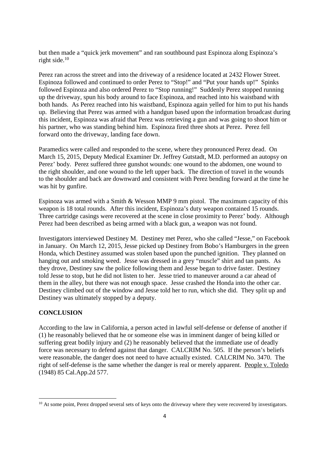but then made a "quick jerk movement" and ran southbound past Espinoza along Espinoza's right side.<sup>10</sup>

Perez ran across the street and into the driveway of a residence located at 2432 Flower Street. Espinoza followed and continued to order Perez to "Stop!" and "Put your hands up!" Spinks followed Espinoza and also ordered Perez to "Stop running!" Suddenly Perez stopped running up the driveway, spun his body around to face Espinoza, and reached into his waistband with both hands. As Perez reached into his waistband, Espinoza again yelled for him to put his hands up. Believing that Perez was armed with a handgun based upon the information broadcast during this incident, Espinoza was afraid that Perez was retrieving a gun and was going to shoot him or his partner, who was standing behind him. Espinoza fired three shots at Perez. Perez fell forward onto the driveway, landing face down.

Paramedics were called and responded to the scene, where they pronounced Perez dead. On March 15, 2015, Deputy Medical Examiner Dr. Jeffrey Gutstadt, M.D. performed an autopsy on Perez' body. Perez suffered three gunshot wounds: one wound to the abdomen, one wound to the right shoulder, and one wound to the left upper back. The direction of travel in the wounds to the shoulder and back are downward and consistent with Perez bending forward at the time he was hit by gunfire.

Espinoza was armed with a Smith & Wesson MMP 9 mm pistol. The maximum capacity of this weapon is 18 total rounds. After this incident, Espinoza's duty weapon contained 15 rounds. Three cartridge casings were recovered at the scene in close proximity to Perez' body. Although Perez had been described as being armed with a black gun, a weapon was not found.

Investigators interviewed Destiney M. Destiney met Perez, who she called "Jesse," on Facebook in January. On March 12, 2015, Jesse picked up Destiney from Bobo's Hamburgers in the green Honda, which Destiney assumed was stolen based upon the punched ignition. They planned on hanging out and smoking weed. Jesse was dressed in a grey "muscle" shirt and tan pants. As they drove, Destiney saw the police following them and Jesse began to drive faster. Destiney told Jesse to stop, but he did not listen to her. Jesse tried to maneuver around a car ahead of them in the alley, but there was not enough space. Jesse crashed the Honda into the other car. Destiney climbed out of the window and Jesse told her to run, which she did. They split up and Destiney was ultimately stopped by a deputy.

#### **CONCLUSION**

According to the law in California, a person acted in lawful self-defense or defense of another if (1) he reasonably believed that he or someone else was in imminent danger of being killed or suffering great bodily injury and (2) he reasonably believed that the immediate use of deadly force was necessary to defend against that danger. CALCRIM No. 505. If the person's beliefs were reasonable, the danger does not need to have actually existed. CALCRIM No. 3470. The right of self-defense is the same whether the danger is real or merely apparent. People v. Toledo (1948) 85 Cal.App.2d 577.

<sup>&</sup>lt;sup>10</sup> At some point, Perez dropped several sets of keys onto the driveway where they were recovered by investigators.